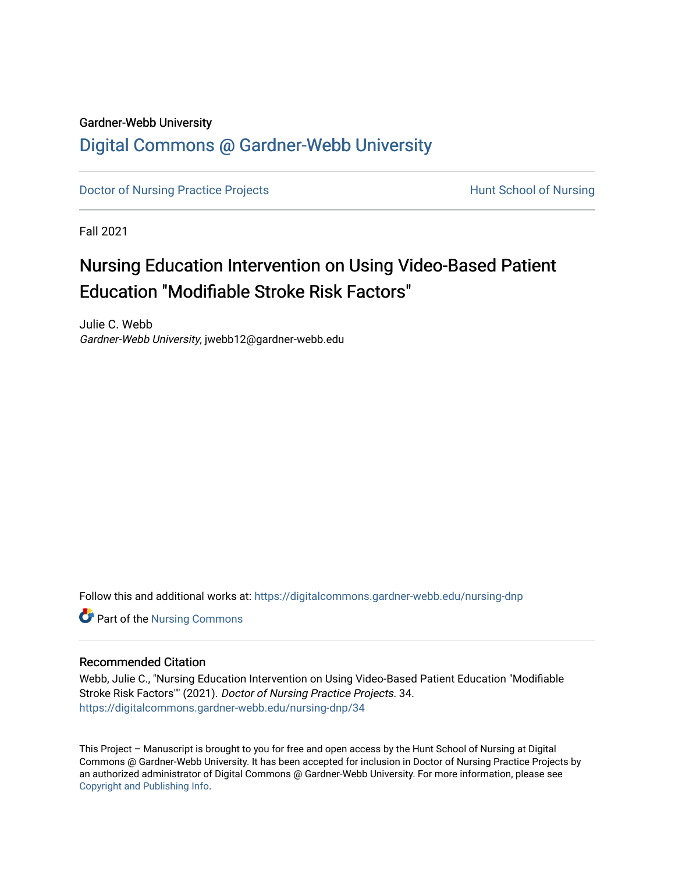## Gardner-Webb University [Digital Commons @ Gardner-Webb University](https://digitalcommons.gardner-webb.edu/)

[Doctor of Nursing Practice Projects](https://digitalcommons.gardner-webb.edu/nursing-dnp) **Exercise Exercise Serverse Hunt School of Nursing** 

Fall 2021

# Nursing Education Intervention on Using Video-Based Patient Education "Modifiable Stroke Risk Factors"

Julie C. Webb Gardner-Webb University, jwebb12@gardner-webb.edu

Follow this and additional works at: [https://digitalcommons.gardner-webb.edu/nursing-dnp](https://digitalcommons.gardner-webb.edu/nursing-dnp?utm_source=digitalcommons.gardner-webb.edu%2Fnursing-dnp%2F34&utm_medium=PDF&utm_campaign=PDFCoverPages) 

**Part of the Nursing Commons** 

#### Recommended Citation

Webb, Julie C., "Nursing Education Intervention on Using Video-Based Patient Education "Modifiable Stroke Risk Factors"" (2021). Doctor of Nursing Practice Projects. 34. [https://digitalcommons.gardner-webb.edu/nursing-dnp/34](https://digitalcommons.gardner-webb.edu/nursing-dnp/34?utm_source=digitalcommons.gardner-webb.edu%2Fnursing-dnp%2F34&utm_medium=PDF&utm_campaign=PDFCoverPages)

This Project – Manuscript is brought to you for free and open access by the Hunt School of Nursing at Digital Commons @ Gardner-Webb University. It has been accepted for inclusion in Doctor of Nursing Practice Projects by an authorized administrator of Digital Commons @ Gardner-Webb University. For more information, please see [Copyright and Publishing Info.](https://digitalcommons.gardner-webb.edu/copyright_publishing.html)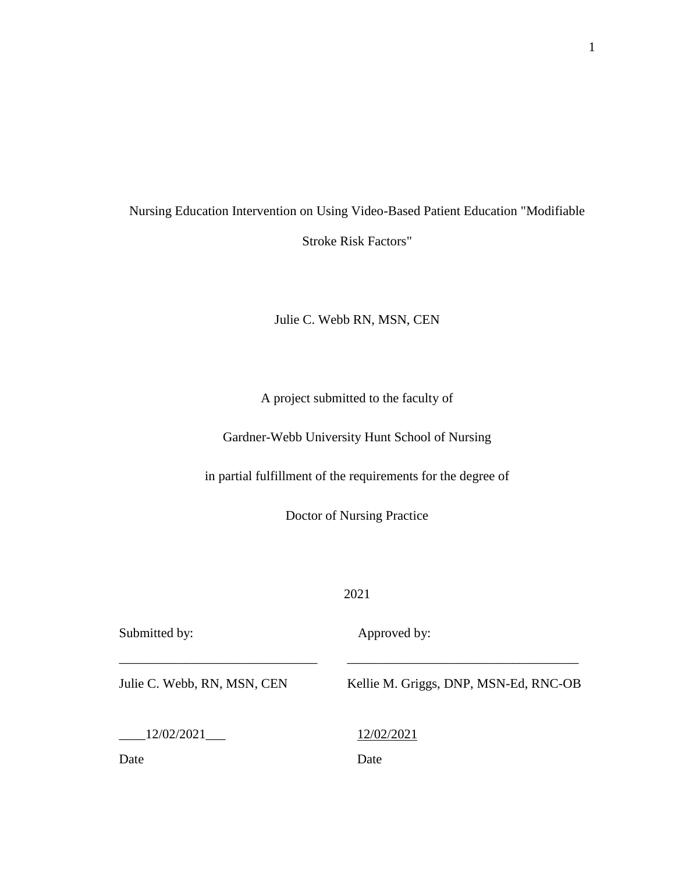# Nursing Education Intervention on Using Video-Based Patient Education "Modifiable Stroke Risk Factors"

#### Julie C. Webb RN, MSN, CEN

A project submitted to the faculty of

Gardner-Webb University Hunt School of Nursing

in partial fulfillment of the requirements for the degree of

Doctor of Nursing Practice

2021

\_\_\_\_\_\_\_\_\_\_\_\_\_\_\_\_\_\_\_\_\_\_\_\_\_\_\_\_\_\_ \_\_\_\_\_\_\_\_\_\_\_\_\_\_\_\_\_\_\_\_\_\_\_\_\_\_\_\_\_\_\_\_\_\_\_

Submitted by: Approved by:

Julie C. Webb, RN, MSN, CEN Kellie M. Griggs, DNP, MSN-Ed, RNC-OB

\_\_\_\_12/02/2021\_\_\_ 12/02/2021

Date Date Date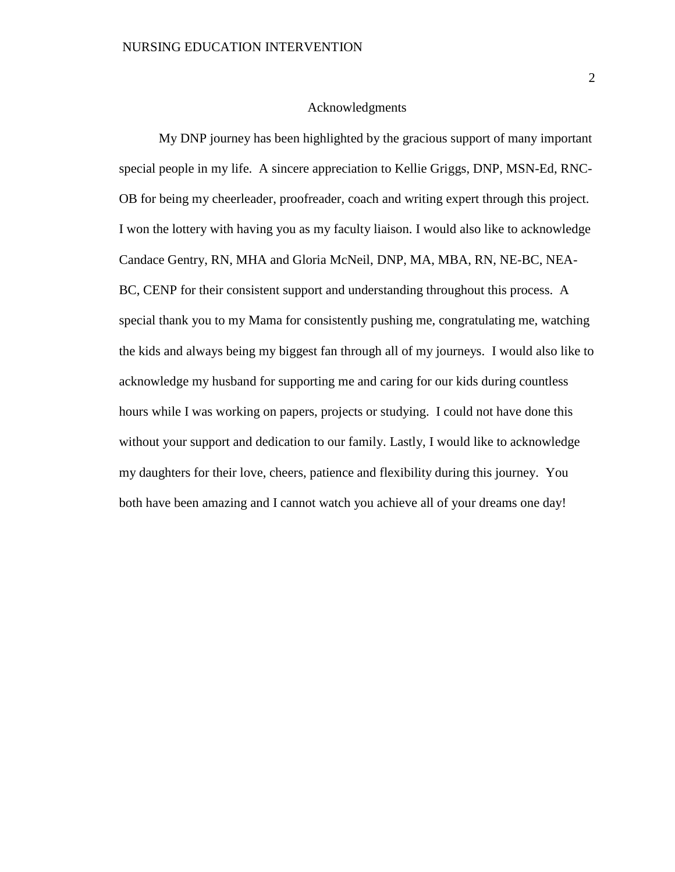#### Acknowledgments

My DNP journey has been highlighted by the gracious support of many important special people in my life. A sincere appreciation to Kellie Griggs, DNP, MSN-Ed, RNC-OB for being my cheerleader, proofreader, coach and writing expert through this project. I won the lottery with having you as my faculty liaison. I would also like to acknowledge Candace Gentry, RN, MHA and Gloria McNeil, DNP, MA, MBA, RN, NE-BC, NEA-BC, CENP for their consistent support and understanding throughout this process. A special thank you to my Mama for consistently pushing me, congratulating me, watching the kids and always being my biggest fan through all of my journeys. I would also like to acknowledge my husband for supporting me and caring for our kids during countless hours while I was working on papers, projects or studying. I could not have done this without your support and dedication to our family. Lastly, I would like to acknowledge my daughters for their love, cheers, patience and flexibility during this journey. You both have been amazing and I cannot watch you achieve all of your dreams one day!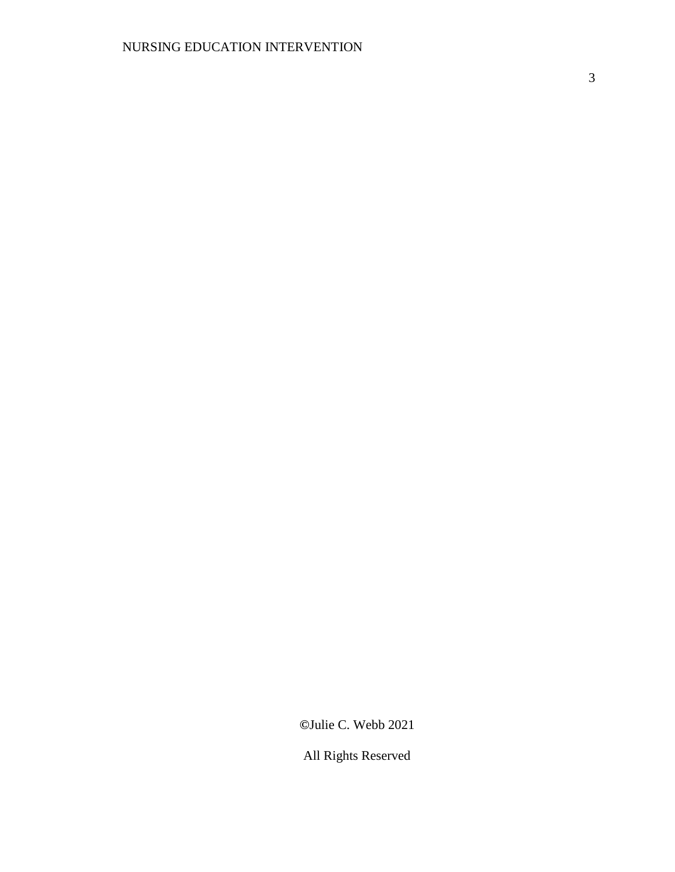3

**©**Julie C. Webb 2021

All Rights Reserved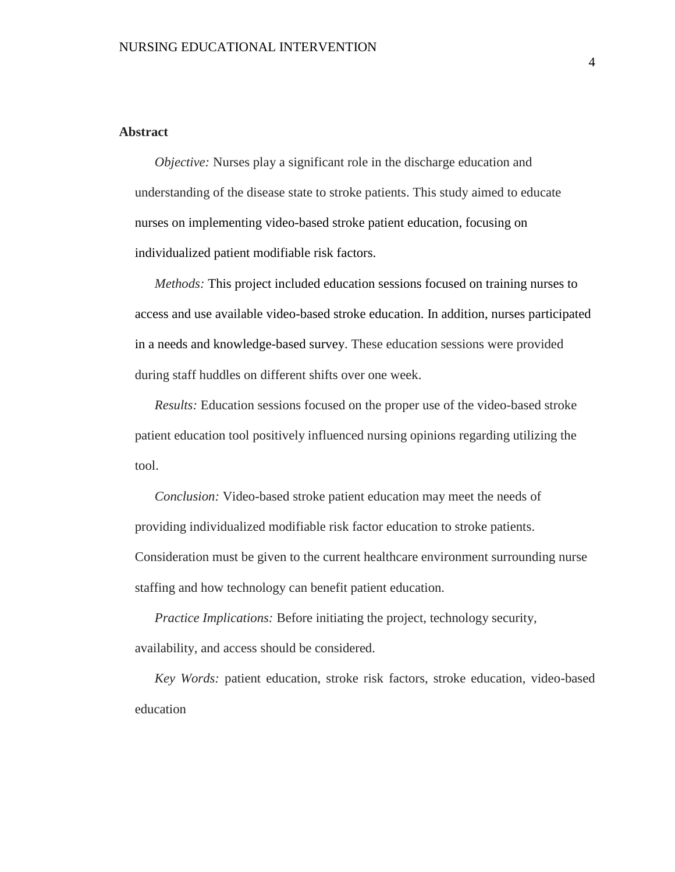#### **Abstract**

*Objective:* Nurses play a significant role in the discharge education and understanding of the disease state to stroke patients. This study aimed to educate nurses on implementing video-based stroke patient education, focusing on individualized patient modifiable risk factors.

*Methods:* This project included education sessions focused on training nurses to access and use available video-based stroke education. In addition, nurses participated in a needs and knowledge-based survey. These education sessions were provided during staff huddles on different shifts over one week.

*Results:* Education sessions focused on the proper use of the video-based stroke patient education tool positively influenced nursing opinions regarding utilizing the tool.

*Conclusion:* Video-based stroke patient education may meet the needs of providing individualized modifiable risk factor education to stroke patients. Consideration must be given to the current healthcare environment surrounding nurse staffing and how technology can benefit patient education.

*Practice Implications:* Before initiating the project, technology security, availability, and access should be considered.

*Key Words:* patient education, stroke risk factors, stroke education, video-based education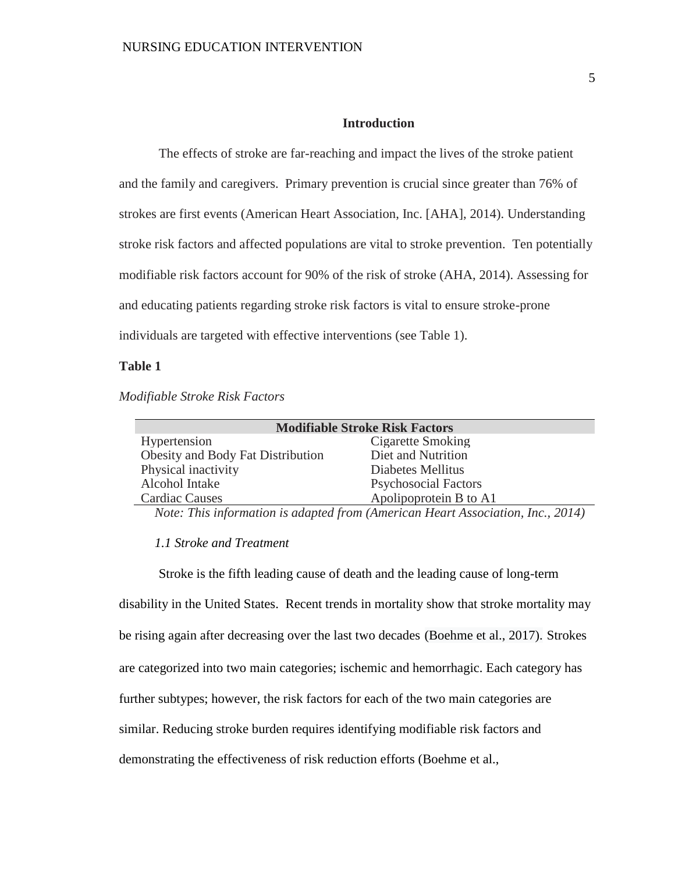#### **Introduction**

The effects of stroke are far-reaching and impact the lives of the stroke patient and the family and caregivers. Primary prevention is crucial since greater than 76% of strokes are first events (American Heart Association, Inc. [AHA], 2014). Understanding stroke risk factors and affected populations are vital to stroke prevention. Ten potentially modifiable risk factors account for 90% of the risk of stroke (AHA, 2014). Assessing for and educating patients regarding stroke risk factors is vital to ensure stroke-prone individuals are targeted with effective interventions (see Table 1).

#### **Table 1**

*Modifiable Stroke Risk Factors* 

| <b>Modifiable Stroke Risk Factors</b> |  |  |  |  |  |  |  |  |  |
|---------------------------------------|--|--|--|--|--|--|--|--|--|
| Cigarette Smoking                     |  |  |  |  |  |  |  |  |  |
| Diet and Nutrition                    |  |  |  |  |  |  |  |  |  |
| Diabetes Mellitus                     |  |  |  |  |  |  |  |  |  |
| <b>Psychosocial Factors</b>           |  |  |  |  |  |  |  |  |  |
| Apolipoprotein B to A1                |  |  |  |  |  |  |  |  |  |
|                                       |  |  |  |  |  |  |  |  |  |

*Note: This information is adapted from (American Heart Association, Inc., 2014)*

#### *1.1 Stroke and Treatment*

Stroke is the fifth leading cause of death and the leading cause of long-term disability in the United States. Recent trends in mortality show that stroke mortality may be rising again after decreasing over the last two decades (Boehme et al., 2017). Strokes are categorized into two main categories; ischemic and hemorrhagic. Each category has further subtypes; however, the risk factors for each of the two main categories are similar. Reducing stroke burden requires identifying modifiable risk factors and demonstrating the effectiveness of risk reduction efforts (Boehme et al.,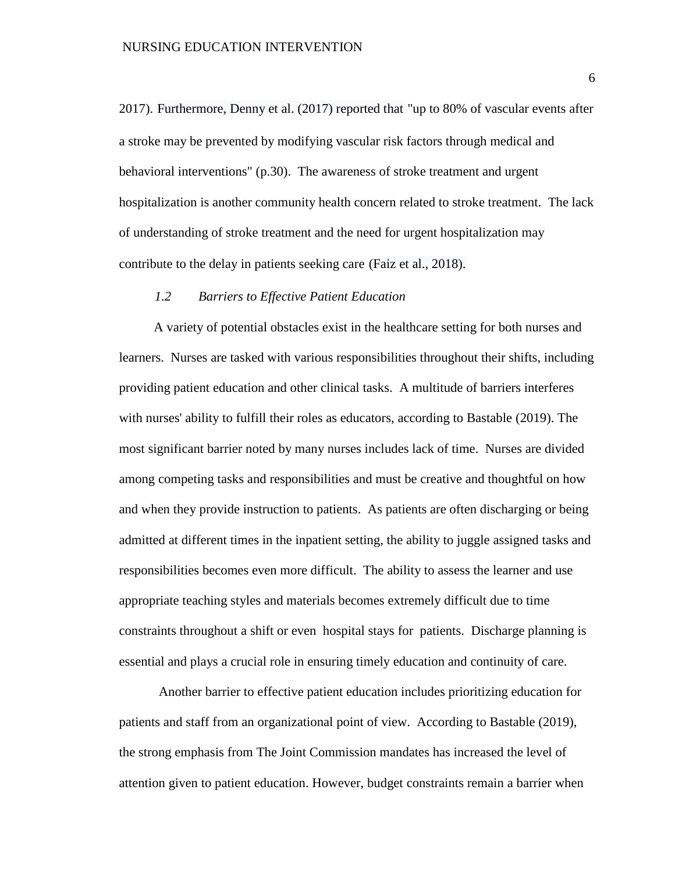2017). Furthermore, Denny et al. (2017) reported that "up to 80% of vascular events after a stroke may be prevented by modifying vascular risk factors through medical and behavioral interventions" (p.30). The awareness of stroke treatment and urgent hospitalization is another community health concern related to stroke treatment. The lack of understanding of stroke treatment and the need for urgent hospitalization may contribute to the delay in patients seeking care (Faiz et al., 2018).

#### *1.2 Barriers to Effective Patient Education*

A variety of potential obstacles exist in the healthcare setting for both nurses and learners. Nurses are tasked with various responsibilities throughout their shifts, including providing patient education and other clinical tasks. A multitude of barriers interferes with nurses' ability to fulfill their roles as educators, according to Bastable (2019). The most significant barrier noted by many nurses includes lack of time. Nurses are divided among competing tasks and responsibilities and must be creative and thoughtful on how and when they provide instruction to patients. As patients are often discharging or being admitted at different times in the inpatient setting, the ability to juggle assigned tasks and responsibilities becomes even more difficult. The ability to assess the learner and use appropriate teaching styles and materials becomes extremely difficult due to time constraints throughout a shift or even hospital stays for patients. Discharge planning is essential and plays a crucial role in ensuring timely education and continuity of care.

Another barrier to effective patient education includes prioritizing education for patients and staff from an organizational point of view. According to Bastable (2019), the strong emphasis from The Joint Commission mandates has increased the level of attention given to patient education. However, budget constraints remain a barrier when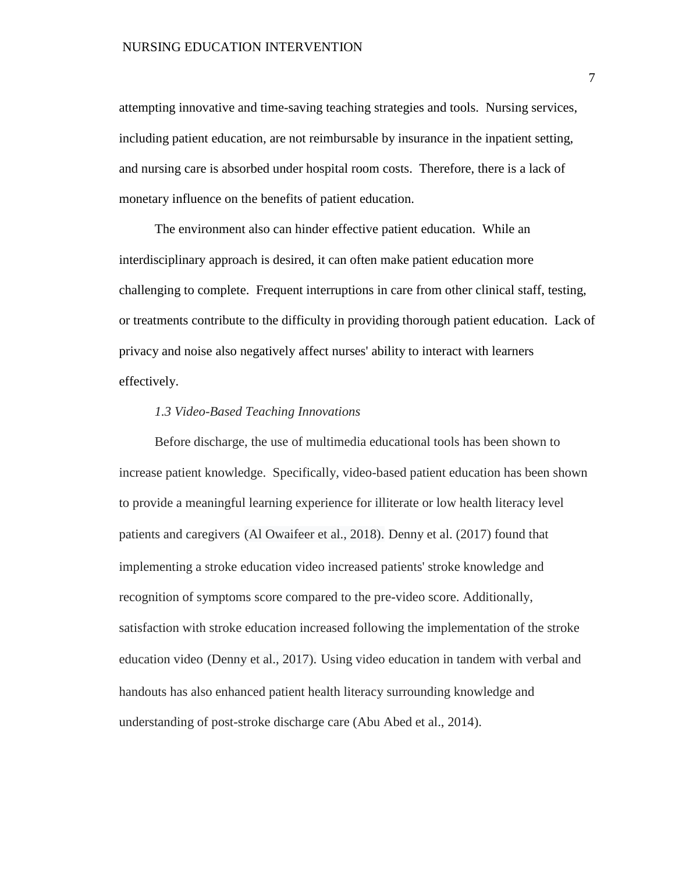#### NURSING EDUCATION INTERVENTION

attempting innovative and time-saving teaching strategies and tools. Nursing services, including patient education, are not reimbursable by insurance in the inpatient setting, and nursing care is absorbed under hospital room costs. Therefore, there is a lack of monetary influence on the benefits of patient education.

The environment also can hinder effective patient education. While an interdisciplinary approach is desired, it can often make patient education more challenging to complete. Frequent interruptions in care from other clinical staff, testing, or treatments contribute to the difficulty in providing thorough patient education. Lack of privacy and noise also negatively affect nurses' ability to interact with learners effectively.

#### *1.3 Video-Based Teaching Innovations*

Before discharge, the use of multimedia educational tools has been shown to increase patient knowledge. Specifically, video-based patient education has been shown to provide a meaningful learning experience for illiterate or low health literacy level patients and caregivers (Al Owaifeer et al., 2018). Denny et al. (2017) found that implementing a stroke education video increased patients' stroke knowledge and recognition of symptoms score compared to the pre-video score. Additionally, satisfaction with stroke education increased following the implementation of the stroke education video (Denny et al., 2017). Using video education in tandem with verbal and handouts has also enhanced patient health literacy surrounding knowledge and understanding of post-stroke discharge care (Abu Abed et al., 2014).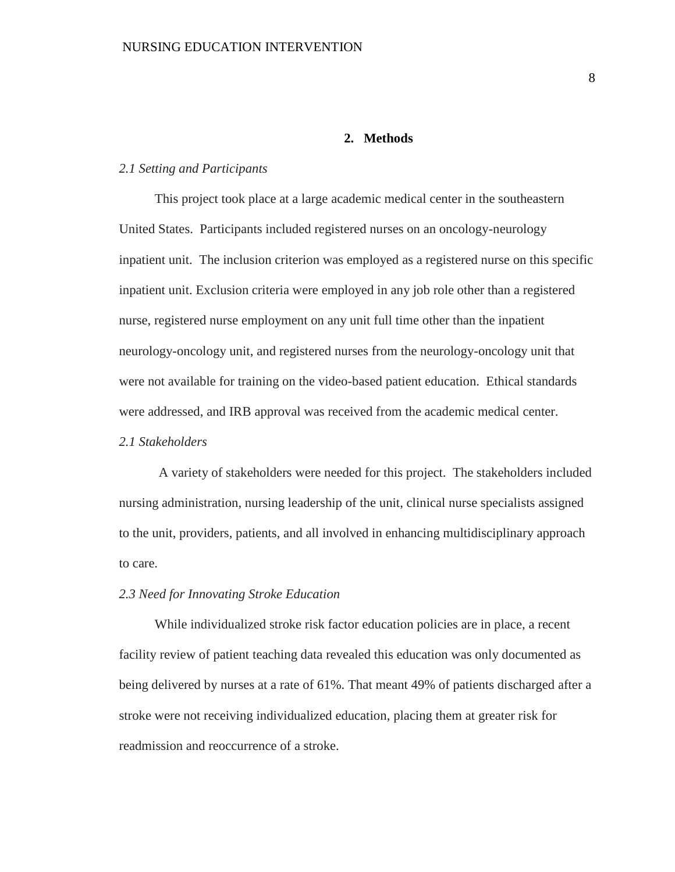#### **2. Methods**

#### *2.1 Setting and Participants*

This project took place at a large academic medical center in the southeastern United States. Participants included registered nurses on an oncology-neurology inpatient unit. The inclusion criterion was employed as a registered nurse on this specific inpatient unit. Exclusion criteria were employed in any job role other than a registered nurse, registered nurse employment on any unit full time other than the inpatient neurology-oncology unit, and registered nurses from the neurology-oncology unit that were not available for training on the video-based patient education. Ethical standards were addressed, and IRB approval was received from the academic medical center.

#### *2.1 Stakeholders*

A variety of stakeholders were needed for this project. The stakeholders included nursing administration, nursing leadership of the unit, clinical nurse specialists assigned to the unit, providers, patients, and all involved in enhancing multidisciplinary approach to care.

#### *2.3 Need for Innovating Stroke Education*

While individualized stroke risk factor education policies are in place, a recent facility review of patient teaching data revealed this education was only documented as being delivered by nurses at a rate of 61%. That meant 49% of patients discharged after a stroke were not receiving individualized education, placing them at greater risk for readmission and reoccurrence of a stroke.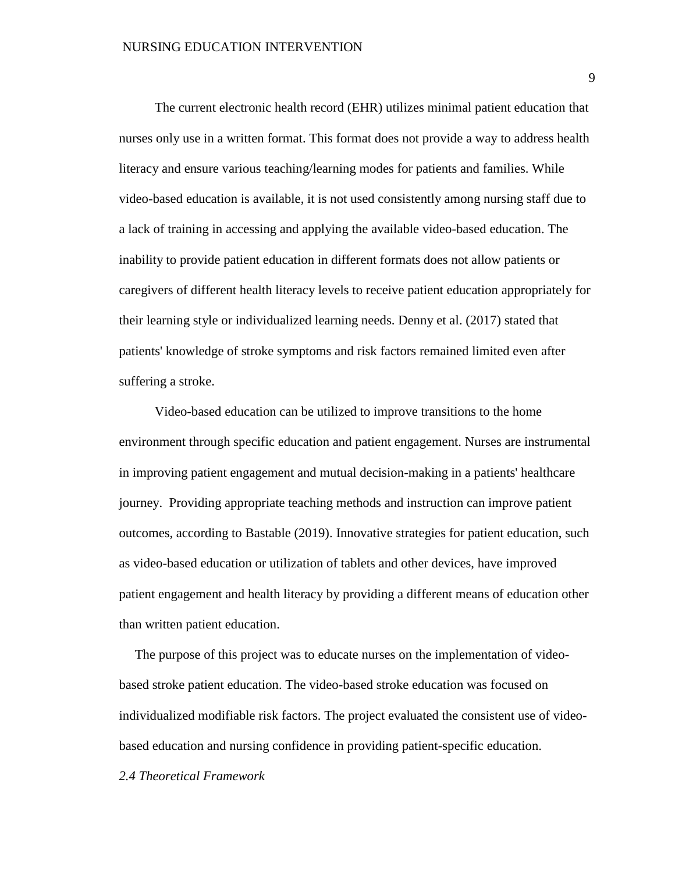The current electronic health record (EHR) utilizes minimal patient education that nurses only use in a written format. This format does not provide a way to address health literacy and ensure various teaching/learning modes for patients and families. While video-based education is available, it is not used consistently among nursing staff due to a lack of training in accessing and applying the available video-based education. The inability to provide patient education in different formats does not allow patients or caregivers of different health literacy levels to receive patient education appropriately for their learning style or individualized learning needs. Denny et al. (2017) stated that patients' knowledge of stroke symptoms and risk factors remained limited even after suffering a stroke.

Video-based education can be utilized to improve transitions to the home environment through specific education and patient engagement. Nurses are instrumental in improving patient engagement and mutual decision-making in a patients' healthcare journey. Providing appropriate teaching methods and instruction can improve patient outcomes, according to Bastable (2019). Innovative strategies for patient education, such as video-based education or utilization of tablets and other devices, have improved patient engagement and health literacy by providing a different means of education other than written patient education.

The purpose of this project was to educate nurses on the implementation of videobased stroke patient education. The video-based stroke education was focused on individualized modifiable risk factors. The project evaluated the consistent use of videobased education and nursing confidence in providing patient-specific education.

#### *2.4 Theoretical Framework*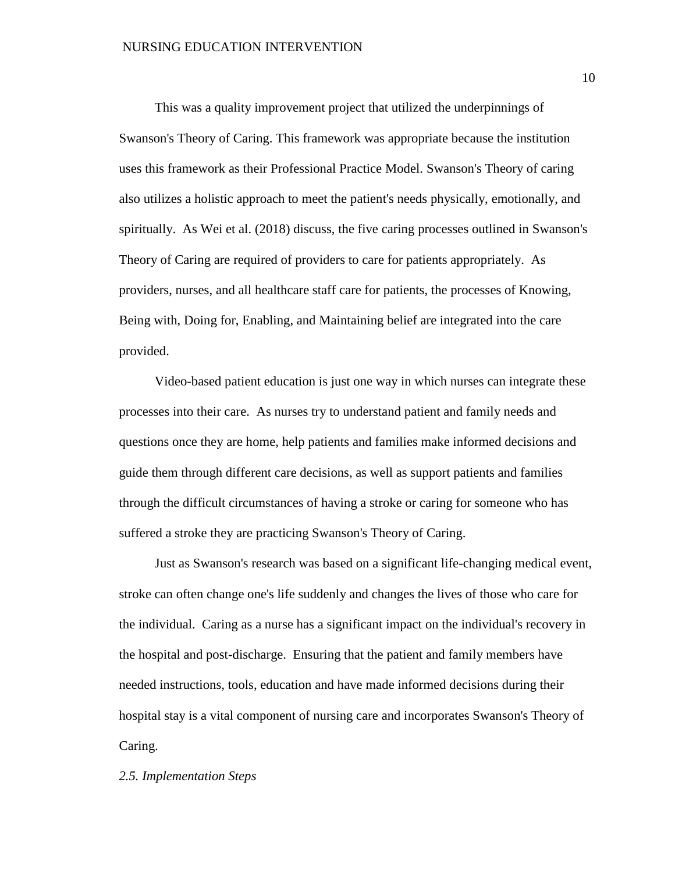This was a quality improvement project that utilized the underpinnings of Swanson's Theory of Caring. This framework was appropriate because the institution uses this framework as their Professional Practice Model. Swanson's Theory of caring also utilizes a holistic approach to meet the patient's needs physically, emotionally, and spiritually. As Wei et al. (2018) discuss, the five caring processes outlined in Swanson's Theory of Caring are required of providers to care for patients appropriately. As providers, nurses, and all healthcare staff care for patients, the processes of Knowing, Being with, Doing for, Enabling, and Maintaining belief are integrated into the care provided.

Video-based patient education is just one way in which nurses can integrate these processes into their care. As nurses try to understand patient and family needs and questions once they are home, help patients and families make informed decisions and guide them through different care decisions, as well as support patients and families through the difficult circumstances of having a stroke or caring for someone who has suffered a stroke they are practicing Swanson's Theory of Caring.

Just as Swanson's research was based on a significant life-changing medical event, stroke can often change one's life suddenly and changes the lives of those who care for the individual. Caring as a nurse has a significant impact on the individual's recovery in the hospital and post-discharge. Ensuring that the patient and family members have needed instructions, tools, education and have made informed decisions during their hospital stay is a vital component of nursing care and incorporates Swanson's Theory of Caring.

#### *2.5. Implementation Steps*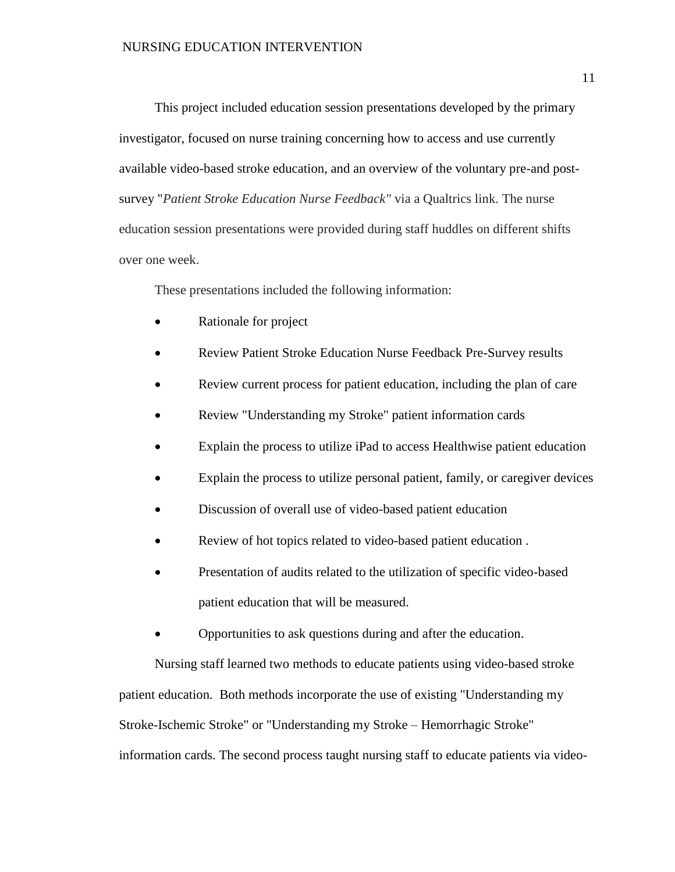This project included education session presentations developed by the primary investigator, focused on nurse training concerning how to access and use currently available video-based stroke education, and an overview of the voluntary pre-and postsurvey "*Patient Stroke Education Nurse Feedback"* via a Qualtrics link. The nurse education session presentations were provided during staff huddles on different shifts over one week.

These presentations included the following information:

- Rationale for project
- Review Patient Stroke Education Nurse Feedback Pre-Survey results
- Review current process for patient education, including the plan of care
- Review "Understanding my Stroke" patient information cards
- Explain the process to utilize iPad to access Healthwise patient education
- Explain the process to utilize personal patient, family, or caregiver devices
- Discussion of overall use of video-based patient education
- Review of hot topics related to video-based patient education .
- Presentation of audits related to the utilization of specific video-based patient education that will be measured.
- Opportunities to ask questions during and after the education.

Nursing staff learned two methods to educate patients using video-based stroke patient education. Both methods incorporate the use of existing "Understanding my Stroke-Ischemic Stroke" or "Understanding my Stroke – Hemorrhagic Stroke" information cards. The second process taught nursing staff to educate patients via video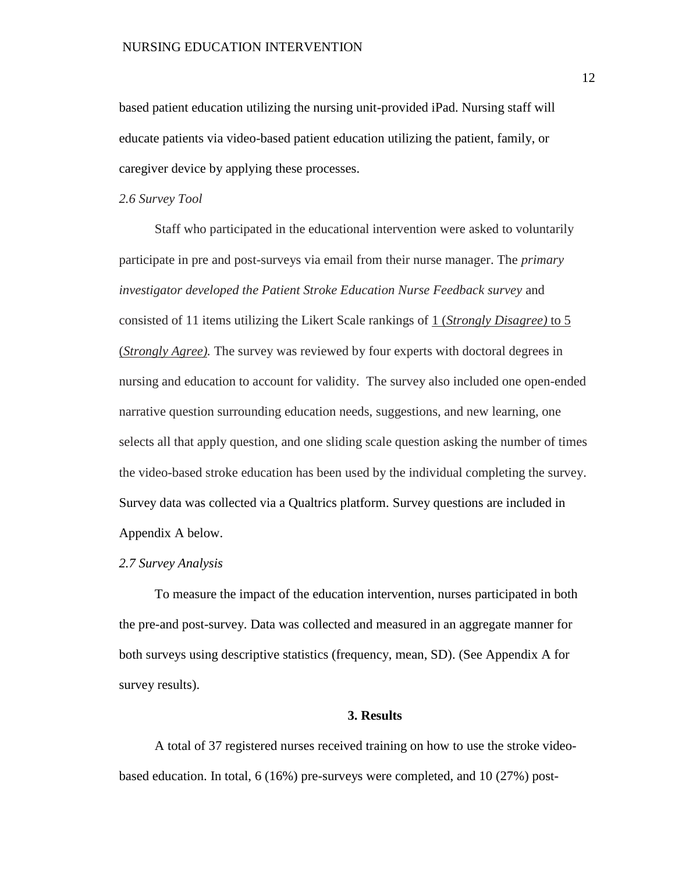based patient education utilizing the nursing unit-provided iPad. Nursing staff will educate patients via video-based patient education utilizing the patient, family, or caregiver device by applying these processes.

#### *2.6 Survey Tool*

Staff who participated in the educational intervention were asked to voluntarily participate in pre and post-surveys via email from their nurse manager. The *primary investigator developed the Patient Stroke Education Nurse Feedback survey* and consisted of 11 items utilizing the Likert Scale rankings of 1 (*Strongly Disagree)* to 5 (*Strongly Agree).* The survey was reviewed by four experts with doctoral degrees in nursing and education to account for validity. The survey also included one open-ended narrative question surrounding education needs, suggestions, and new learning, one selects all that apply question, and one sliding scale question asking the number of times the video-based stroke education has been used by the individual completing the survey. Survey data was collected via a Qualtrics platform. Survey questions are included in Appendix A below.

#### *2.7 Survey Analysis*

To measure the impact of the education intervention, nurses participated in both the pre-and post-survey. Data was collected and measured in an aggregate manner for both surveys using descriptive statistics (frequency, mean, SD). (See Appendix A for survey results).

#### **3. Results**

A total of 37 registered nurses received training on how to use the stroke videobased education. In total, 6 (16%) pre-surveys were completed, and 10 (27%) post-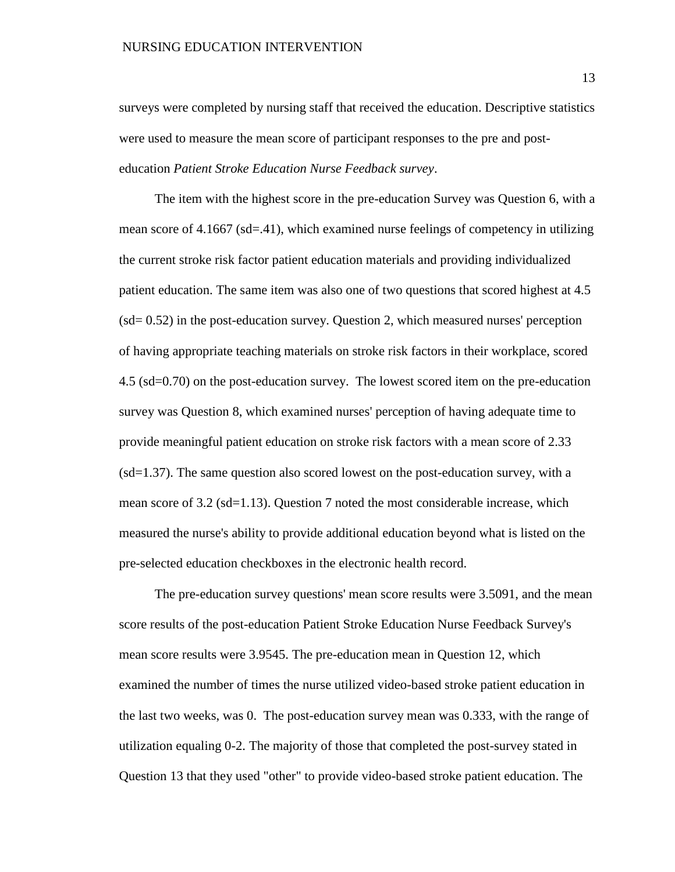#### NURSING EDUCATION INTERVENTION

surveys were completed by nursing staff that received the education. Descriptive statistics were used to measure the mean score of participant responses to the pre and posteducation *Patient Stroke Education Nurse Feedback survey*.

The item with the highest score in the pre-education Survey was Question 6, with a mean score of 4.1667 (sd=.41), which examined nurse feelings of competency in utilizing the current stroke risk factor patient education materials and providing individualized patient education. The same item was also one of two questions that scored highest at 4.5 (sd= 0.52) in the post-education survey. Question 2, which measured nurses' perception of having appropriate teaching materials on stroke risk factors in their workplace, scored 4.5 (sd=0.70) on the post-education survey. The lowest scored item on the pre-education survey was Question 8, which examined nurses' perception of having adequate time to provide meaningful patient education on stroke risk factors with a mean score of 2.33 (sd=1.37). The same question also scored lowest on the post-education survey, with a mean score of 3.2 (sd=1.13). Question 7 noted the most considerable increase, which measured the nurse's ability to provide additional education beyond what is listed on the pre-selected education checkboxes in the electronic health record.

The pre-education survey questions' mean score results were 3.5091, and the mean score results of the post-education Patient Stroke Education Nurse Feedback Survey's mean score results were 3.9545. The pre-education mean in Question 12, which examined the number of times the nurse utilized video-based stroke patient education in the last two weeks, was 0. The post-education survey mean was 0.333, with the range of utilization equaling 0-2. The majority of those that completed the post-survey stated in Question 13 that they used "other" to provide video-based stroke patient education. The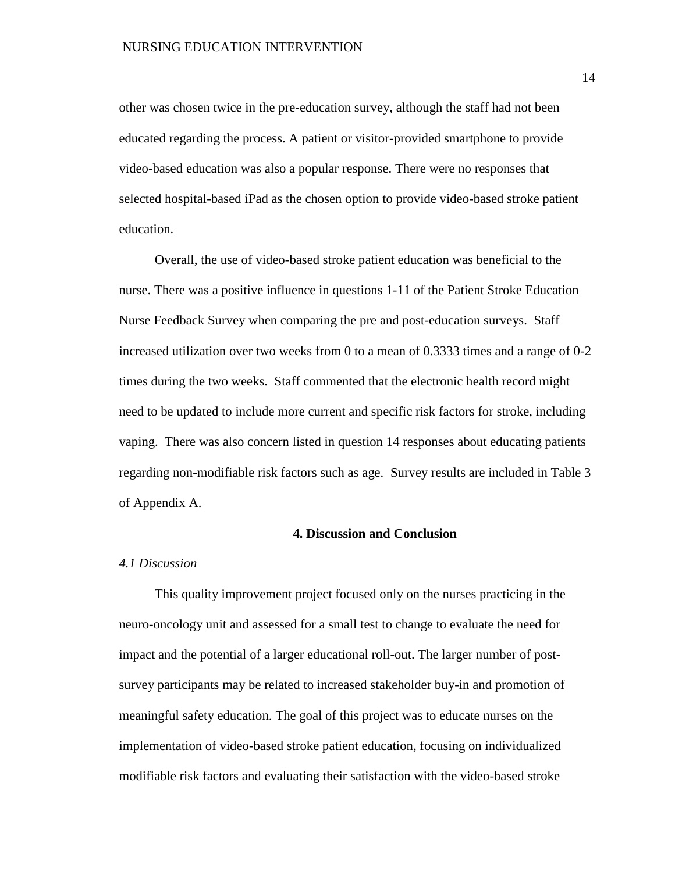other was chosen twice in the pre-education survey, although the staff had not been educated regarding the process. A patient or visitor-provided smartphone to provide video-based education was also a popular response. There were no responses that selected hospital-based iPad as the chosen option to provide video-based stroke patient education.

Overall, the use of video-based stroke patient education was beneficial to the nurse. There was a positive influence in questions 1-11 of the Patient Stroke Education Nurse Feedback Survey when comparing the pre and post-education surveys. Staff increased utilization over two weeks from 0 to a mean of 0.3333 times and a range of 0-2 times during the two weeks. Staff commented that the electronic health record might need to be updated to include more current and specific risk factors for stroke, including vaping. There was also concern listed in question 14 responses about educating patients regarding non-modifiable risk factors such as age. Survey results are included in Table 3 of Appendix A.

#### **4. Discussion and Conclusion**

#### *4.1 Discussion*

This quality improvement project focused only on the nurses practicing in the neuro-oncology unit and assessed for a small test to change to evaluate the need for impact and the potential of a larger educational roll-out. The larger number of postsurvey participants may be related to increased stakeholder buy-in and promotion of meaningful safety education. The goal of this project was to educate nurses on the implementation of video-based stroke patient education, focusing on individualized modifiable risk factors and evaluating their satisfaction with the video-based stroke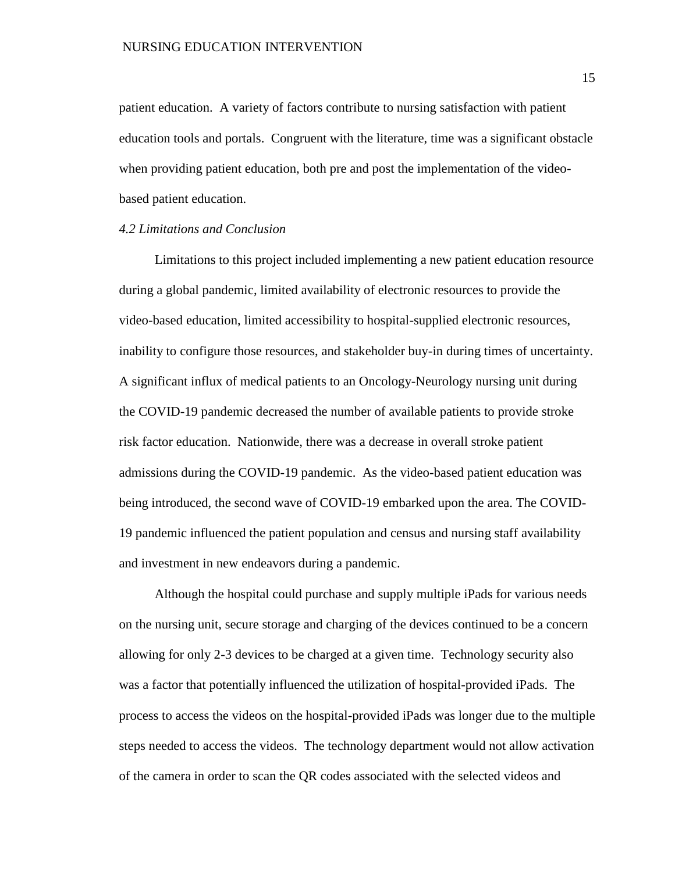patient education. A variety of factors contribute to nursing satisfaction with patient education tools and portals. Congruent with the literature, time was a significant obstacle when providing patient education, both pre and post the implementation of the videobased patient education.

#### *4.2 Limitations and Conclusion*

Limitations to this project included implementing a new patient education resource during a global pandemic, limited availability of electronic resources to provide the video-based education, limited accessibility to hospital-supplied electronic resources, inability to configure those resources, and stakeholder buy-in during times of uncertainty. A significant influx of medical patients to an Oncology-Neurology nursing unit during the COVID-19 pandemic decreased the number of available patients to provide stroke risk factor education. Nationwide, there was a decrease in overall stroke patient admissions during the COVID-19 pandemic. As the video-based patient education was being introduced, the second wave of COVID-19 embarked upon the area. The COVID-19 pandemic influenced the patient population and census and nursing staff availability and investment in new endeavors during a pandemic.

Although the hospital could purchase and supply multiple iPads for various needs on the nursing unit, secure storage and charging of the devices continued to be a concern allowing for only 2-3 devices to be charged at a given time. Technology security also was a factor that potentially influenced the utilization of hospital-provided iPads. The process to access the videos on the hospital-provided iPads was longer due to the multiple steps needed to access the videos. The technology department would not allow activation of the camera in order to scan the QR codes associated with the selected videos and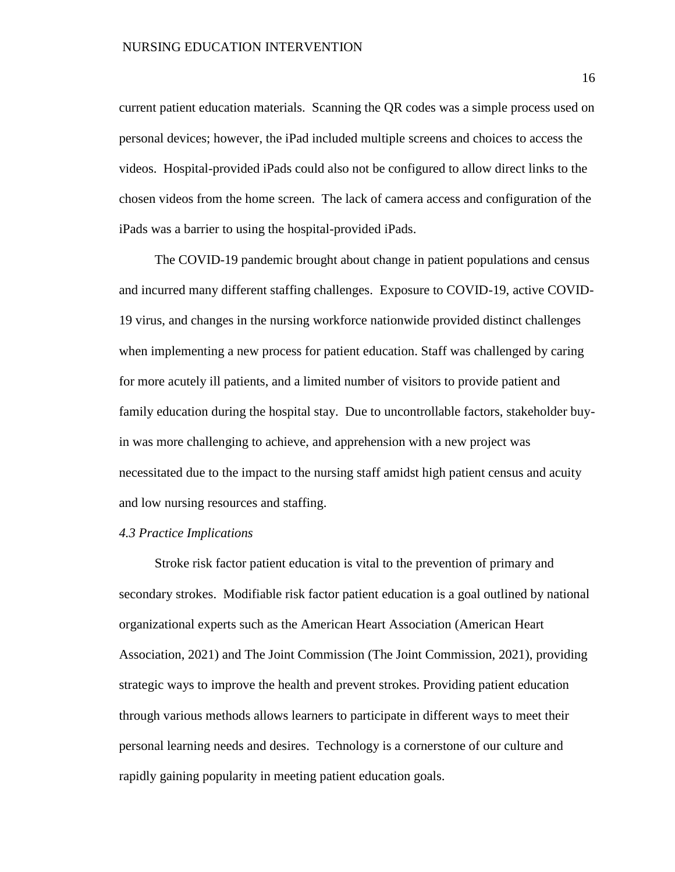current patient education materials. Scanning the QR codes was a simple process used on personal devices; however, the iPad included multiple screens and choices to access the videos. Hospital-provided iPads could also not be configured to allow direct links to the chosen videos from the home screen. The lack of camera access and configuration of the iPads was a barrier to using the hospital-provided iPads.

The COVID-19 pandemic brought about change in patient populations and census and incurred many different staffing challenges. Exposure to COVID-19, active COVID-19 virus, and changes in the nursing workforce nationwide provided distinct challenges when implementing a new process for patient education. Staff was challenged by caring for more acutely ill patients, and a limited number of visitors to provide patient and family education during the hospital stay. Due to uncontrollable factors, stakeholder buyin was more challenging to achieve, and apprehension with a new project was necessitated due to the impact to the nursing staff amidst high patient census and acuity and low nursing resources and staffing.

#### *4.3 Practice Implications*

Stroke risk factor patient education is vital to the prevention of primary and secondary strokes. Modifiable risk factor patient education is a goal outlined by national organizational experts such as the American Heart Association (American Heart Association, 2021) and The Joint Commission (The Joint Commission, 2021), providing strategic ways to improve the health and prevent strokes. Providing patient education through various methods allows learners to participate in different ways to meet their personal learning needs and desires. Technology is a cornerstone of our culture and rapidly gaining popularity in meeting patient education goals.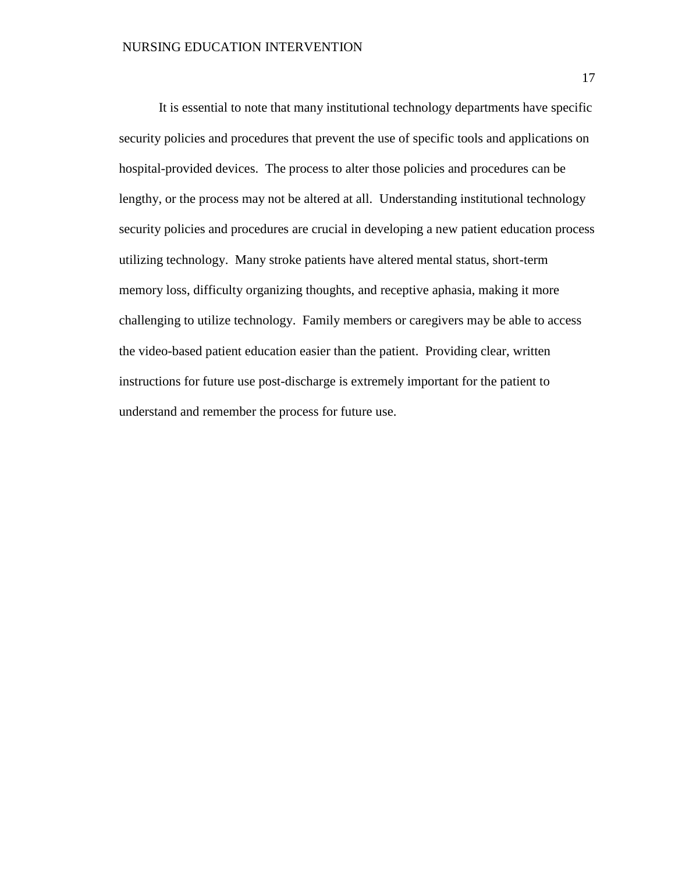It is essential to note that many institutional technology departments have specific security policies and procedures that prevent the use of specific tools and applications on hospital-provided devices. The process to alter those policies and procedures can be lengthy, or the process may not be altered at all. Understanding institutional technology security policies and procedures are crucial in developing a new patient education process utilizing technology. Many stroke patients have altered mental status, short-term memory loss, difficulty organizing thoughts, and receptive aphasia, making it more challenging to utilize technology. Family members or caregivers may be able to access the video-based patient education easier than the patient. Providing clear, written instructions for future use post-discharge is extremely important for the patient to understand and remember the process for future use.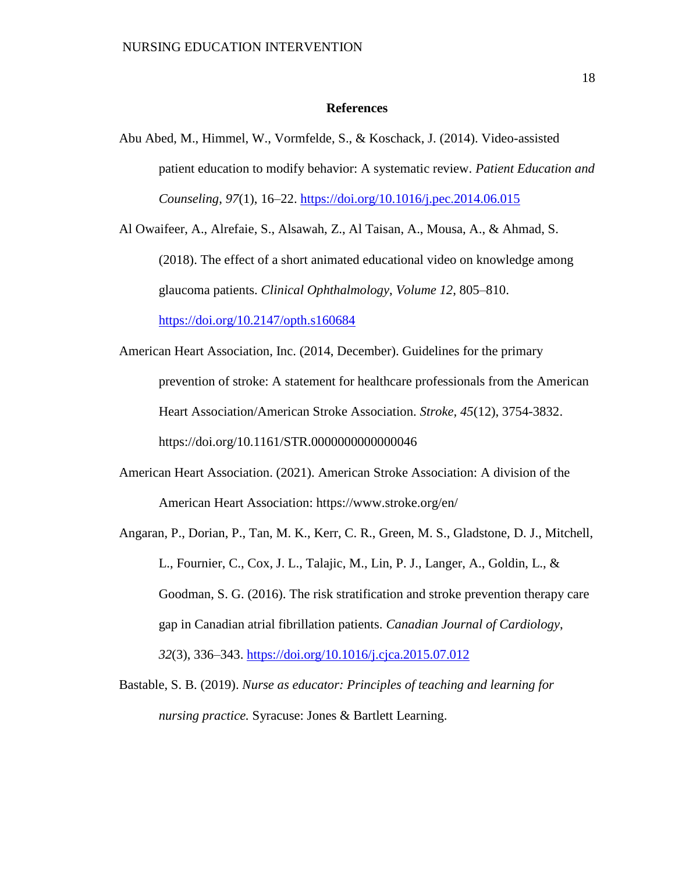#### **References**

Abu Abed, M., Himmel, W., Vormfelde, S., & Koschack, J. (2014). Video-assisted patient education to modify behavior: A systematic review. *Patient Education and Counseling*, *97*(1), 16–22.<https://doi.org/10.1016/j.pec.2014.06.015>

Al Owaifeer, A., Alrefaie, S., Alsawah, Z., Al Taisan, A., Mousa, A., & Ahmad, S. (2018). The effect of a short animated educational video on knowledge among glaucoma patients. *Clinical Ophthalmology*, *Volume 12*, 805–810. <https://doi.org/10.2147/opth.s160684>

- American Heart Association, Inc. (2014, December). Guidelines for the primary prevention of stroke: A statement for healthcare professionals from the American Heart Association/American Stroke Association. *Stroke, 45*(12), 3754-3832. https://doi.org/10.1161/STR.0000000000000046
- American Heart Association. (2021). American Stroke Association: A division of the American Heart Association: https://www.stroke.org/en/
- Angaran, P., Dorian, P., Tan, M. K., Kerr, C. R., Green, M. S., Gladstone, D. J., Mitchell, L., Fournier, C., Cox, J. L., Talajic, M., Lin, P. J., Langer, A., Goldin, L., & Goodman, S. G. (2016). The risk stratification and stroke prevention therapy care gap in Canadian atrial fibrillation patients. *Canadian Journal of Cardiology*, *32*(3), 336–343.<https://doi.org/10.1016/j.cjca.2015.07.012>
- Bastable, S. B. (2019). *Nurse as educator: Principles of teaching and learning for nursing practice.* Syracuse: Jones & Bartlett Learning.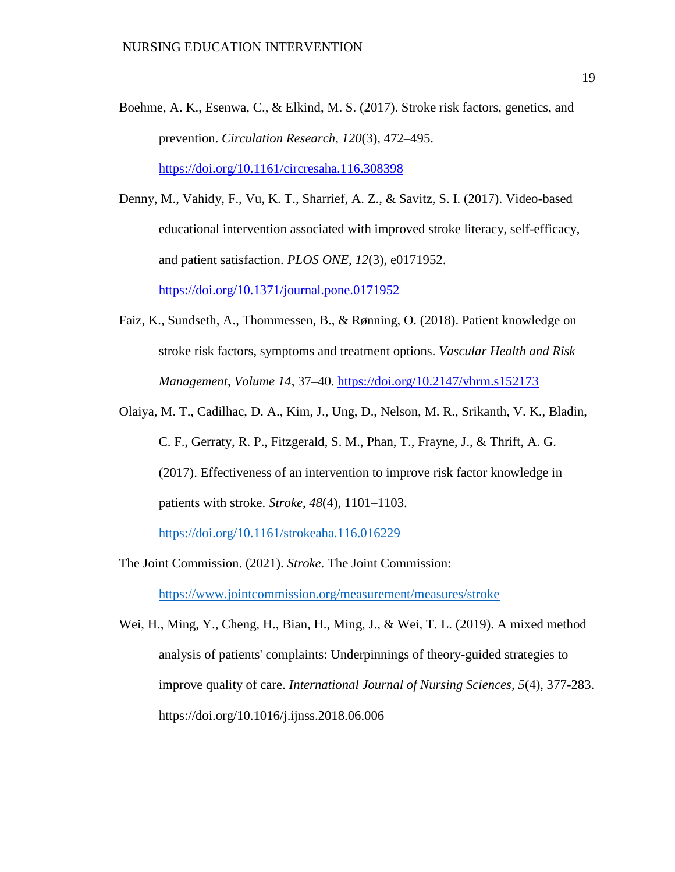Boehme, A. K., Esenwa, C., & Elkind, M. S. (2017). Stroke risk factors, genetics, and prevention. *Circulation Research*, *120*(3), 472–495. <https://doi.org/10.1161/circresaha.116.308398>

Denny, M., Vahidy, F., Vu, K. T., Sharrief, A. Z., & Savitz, S. I. (2017). Video-based educational intervention associated with improved stroke literacy, self-efficacy, and patient satisfaction. *PLOS ONE*, *12*(3), e0171952. <https://doi.org/10.1371/journal.pone.0171952>

- Faiz, K., Sundseth, A., Thommessen, B., & Rønning, O. (2018). Patient knowledge on stroke risk factors, symptoms and treatment options. *Vascular Health and Risk Management*, *Volume 14*, 37–40.<https://doi.org/10.2147/vhrm.s152173>
- Olaiya, M. T., Cadilhac, D. A., Kim, J., Ung, D., Nelson, M. R., Srikanth, V. K., Bladin, C. F., Gerraty, R. P., Fitzgerald, S. M., Phan, T., Frayne, J., & Thrift, A. G. (2017). Effectiveness of an intervention to improve risk factor knowledge in patients with stroke. *Stroke*, *48*(4), 1101–1103.

<https://doi.org/10.1161/strokeaha.116.016229>

- The Joint Commission. (2021). *Stroke*. The Joint Commission: <https://www.jointcommission.org/measurement/measures/stroke>
- Wei, H., Ming, Y., Cheng, H., Bian, H., Ming, J., & Wei, T. L. (2019). A mixed method analysis of patients' complaints: Underpinnings of theory-guided strategies to improve quality of care. *International Journal of Nursing Sciences, 5*(4), 377-283. https://doi.org/10.1016/j.ijnss.2018.06.006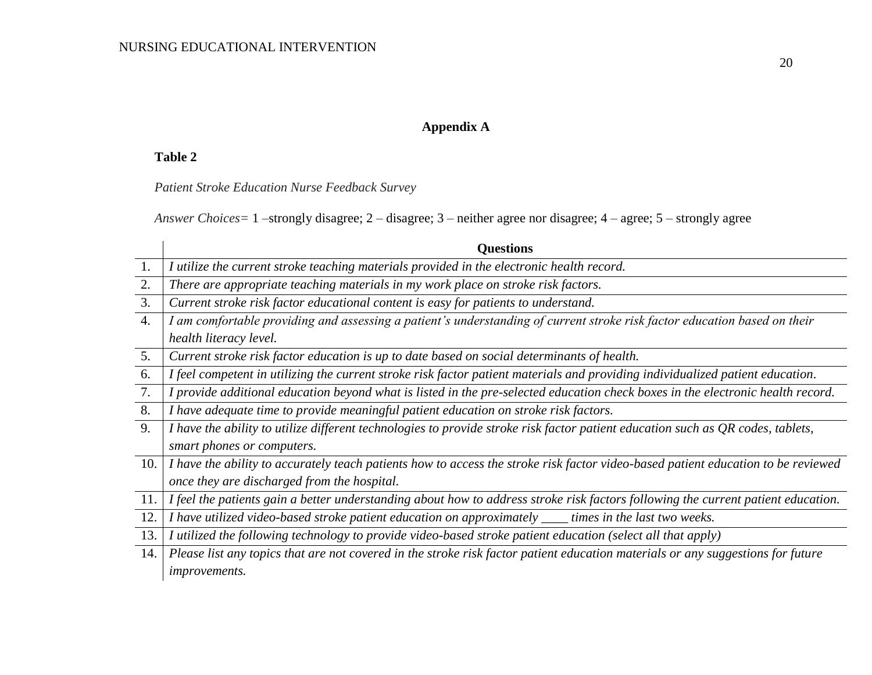## **Appendix A**

## **Table 2**

*Patient Stroke Education Nurse Feedback Survey*

*Answer Choices=* 1 –strongly disagree; 2 – disagree; 3 – neither agree nor disagree; 4 – agree; 5 – strongly agree

|                  | <b>Questions</b>                                                                                                                  |  |  |  |  |  |  |  |  |  |
|------------------|-----------------------------------------------------------------------------------------------------------------------------------|--|--|--|--|--|--|--|--|--|
| 1.               | I utilize the current stroke teaching materials provided in the electronic health record.                                         |  |  |  |  |  |  |  |  |  |
| 2.               | There are appropriate teaching materials in my work place on stroke risk factors.                                                 |  |  |  |  |  |  |  |  |  |
| 3.               | Current stroke risk factor educational content is easy for patients to understand.                                                |  |  |  |  |  |  |  |  |  |
| $\overline{4}$ . | I am comfortable providing and assessing a patient's understanding of current stroke risk factor education based on their         |  |  |  |  |  |  |  |  |  |
|                  | health literacy level.                                                                                                            |  |  |  |  |  |  |  |  |  |
| 5.               | Current stroke risk factor education is up to date based on social determinants of health.                                        |  |  |  |  |  |  |  |  |  |
| 6.               | I feel competent in utilizing the current stroke risk factor patient materials and providing individualized patient education.    |  |  |  |  |  |  |  |  |  |
| 7.               | I provide additional education beyond what is listed in the pre-selected education check boxes in the electronic health record.   |  |  |  |  |  |  |  |  |  |
| 8.               | I have adequate time to provide meaningful patient education on stroke risk factors.                                              |  |  |  |  |  |  |  |  |  |
| 9.               | I have the ability to utilize different technologies to provide stroke risk factor patient education such as $QR$ codes, tablets, |  |  |  |  |  |  |  |  |  |
|                  | smart phones or computers.                                                                                                        |  |  |  |  |  |  |  |  |  |
| 10.              | I have the ability to accurately teach patients how to access the stroke risk factor video-based patient education to be reviewed |  |  |  |  |  |  |  |  |  |
|                  | once they are discharged from the hospital.                                                                                       |  |  |  |  |  |  |  |  |  |
| 11.              | I feel the patients gain a better understanding about how to address stroke risk factors following the current patient education. |  |  |  |  |  |  |  |  |  |
| 12.              | I have utilized video-based stroke patient education on approximately ____ times in the last two weeks.                           |  |  |  |  |  |  |  |  |  |
| 13.              | I utilized the following technology to provide video-based stroke patient education (select all that apply)                       |  |  |  |  |  |  |  |  |  |
| 14.              | Please list any topics that are not covered in the stroke risk factor patient education materials or any suggestions for future   |  |  |  |  |  |  |  |  |  |
|                  | <i>improvements.</i>                                                                                                              |  |  |  |  |  |  |  |  |  |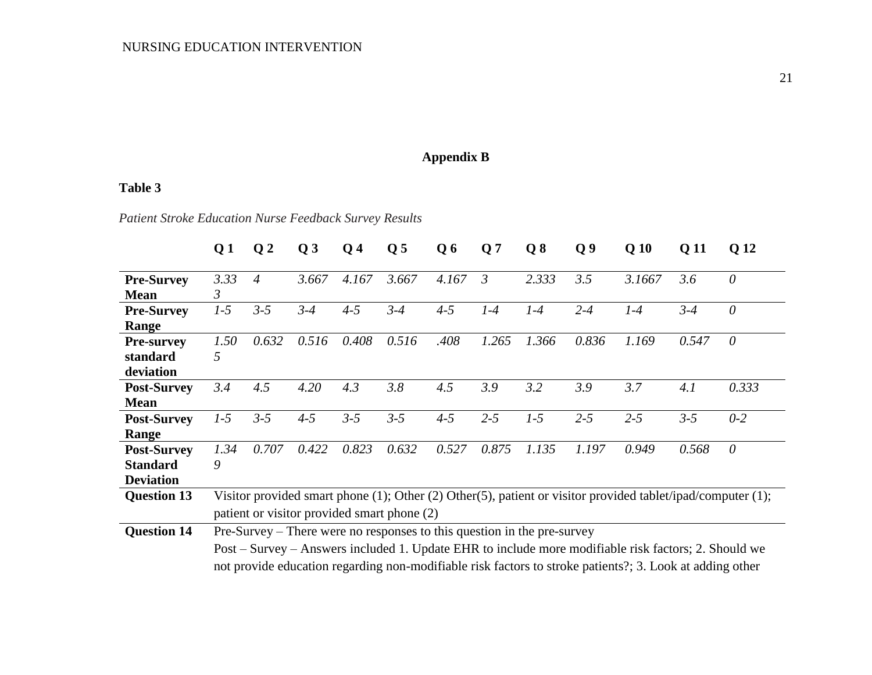## **Appendix B**

## **Table 3**

*Patient Stroke Education Nurse Feedback Survey Results*

|                    | Q <sub>1</sub>                                                                                              | Q <sub>2</sub> | Q <sub>3</sub> | Q <sub>4</sub> | Q <sub>5</sub> | Q6      | Q <sub>7</sub> | Q8    | Q <sub>9</sub> | Q <sub>10</sub> | Q 11    | Q 12     |
|--------------------|-------------------------------------------------------------------------------------------------------------|----------------|----------------|----------------|----------------|---------|----------------|-------|----------------|-----------------|---------|----------|
| <b>Pre-Survey</b>  | 3.33                                                                                                        | $\overline{4}$ | 3.667          | 4.167          | 3.667          | 4.167   | 3              | 2.333 | 3.5            | 3.1667          | 3.6     | $\theta$ |
| <b>Mean</b>        | 3                                                                                                           |                |                |                |                |         |                |       |                |                 |         |          |
| <b>Pre-Survey</b>  | $1-5$                                                                                                       | $3 - 5$        | $3 - 4$        | $4 - 5$        | $3 - 4$        | $4 - 5$ | $1-4$          | $1-4$ | $2 - 4$        | $1-4$           | $3 - 4$ | $\theta$ |
| Range              |                                                                                                             |                |                |                |                |         |                |       |                |                 |         |          |
| <b>Pre-survey</b>  | 1.50                                                                                                        | 0.632          | 0.516          | 0.408          | 0.516          | .408    | 1.265          | 1.366 | 0.836          | 1.169           | 0.547   | $\theta$ |
| standard           | 5                                                                                                           |                |                |                |                |         |                |       |                |                 |         |          |
| deviation          |                                                                                                             |                |                |                |                |         |                |       |                |                 |         |          |
| <b>Post-Survey</b> | 3.4                                                                                                         | 4.5            | 4.20           | 4.3            | 3.8            | 4.5     | 3.9            | 3.2   | 3.9            | 3.7             | 4.1     | 0.333    |
| <b>Mean</b>        |                                                                                                             |                |                |                |                |         |                |       |                |                 |         |          |
| <b>Post-Survey</b> | $1-5$                                                                                                       | $3 - 5$        | $4 - 5$        | $3 - 5$        | $3 - 5$        | $4 - 5$ | $2 - 5$        | $1-5$ | $2 - 5$        | $2 - 5$         | $3 - 5$ | $0-2$    |
| Range              |                                                                                                             |                |                |                |                |         |                |       |                |                 |         |          |
| <b>Post-Survey</b> | 1.34                                                                                                        | 0.707          | 0.422          | 0.823          | 0.632          | 0.527   | 0.875          | 1.135 | 1.197          | 0.949           | 0.568   | $\theta$ |
| <b>Standard</b>    | 9                                                                                                           |                |                |                |                |         |                |       |                |                 |         |          |
| <b>Deviation</b>   |                                                                                                             |                |                |                |                |         |                |       |                |                 |         |          |
| <b>Question 13</b> | Visitor provided smart phone (1); Other (2) Other(5), patient or visitor provided tablet/ipad/computer (1); |                |                |                |                |         |                |       |                |                 |         |          |
|                    | patient or visitor provided smart phone (2)                                                                 |                |                |                |                |         |                |       |                |                 |         |          |
| <b>Question 14</b> | Pre-Survey – There were no responses to this question in the pre-survey                                     |                |                |                |                |         |                |       |                |                 |         |          |
|                    | Post – Survey – Answers included 1. Update EHR to include more modifiable risk factors; 2. Should we        |                |                |                |                |         |                |       |                |                 |         |          |
|                    | not provide education regarding non-modifiable risk factors to stroke patients?; 3. Look at adding other    |                |                |                |                |         |                |       |                |                 |         |          |
|                    |                                                                                                             |                |                |                |                |         |                |       |                |                 |         |          |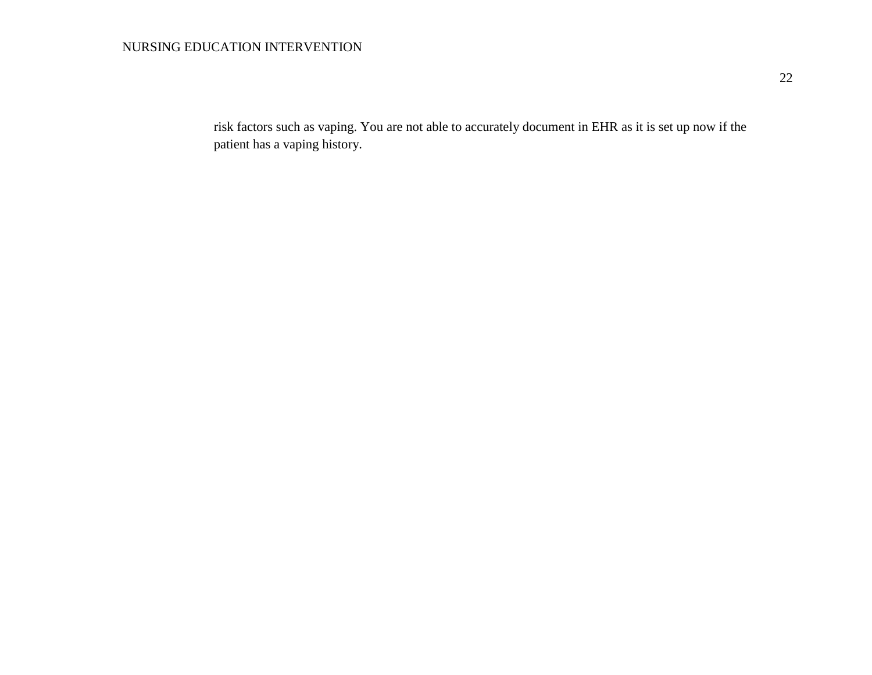## NURSING EDUCATION INTERVENTION

risk factors such as vaping. You are not able to accurately document in EHR as it is set up now if the patient has a vaping history.